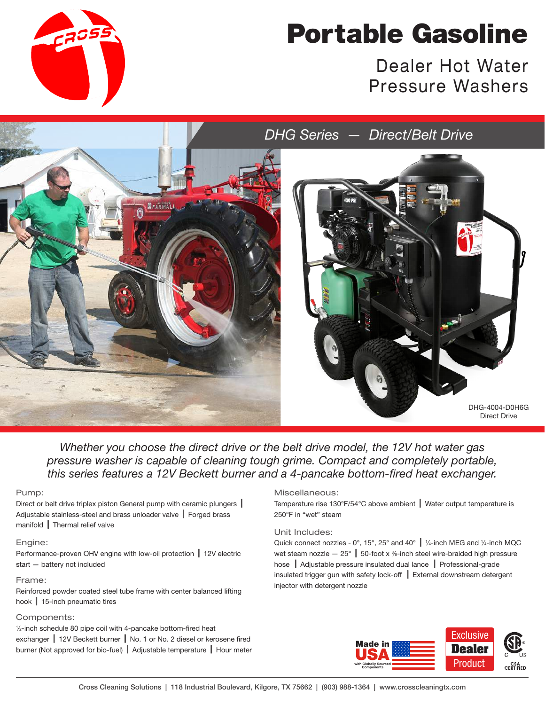

# Portable Gasoline

Dealer Hot Water Pressure Washers



*Whether you choose the direct drive or the belt drive model, the 12V hot water gas pressure washer is capable of cleaning tough grime. Compact and completely portable, this series features a 12V Beckett burner and a 4-pancake bottom-fired heat exchanger.*

#### Pump:

Direct or belt drive triplex piston General pump with ceramic plungers | Adjustable stainless-steel and brass unloader valve  $\parallel$  Forged brass  $manifold$  Thermal relief valve

#### Engine:

Performance-proven OHV engine with low-oil protection | 12V electric start — battery not included

#### Frame:

Reinforced powder coated steel tube frame with center balanced lifting hook  $\vert$  15-inch pneumatic tires

### Components:

1 ⁄2-inch schedule 80 pipe coil with 4-pancake bottom-fired heat exchanger | 12V Beckett burner | No. 1 or No. 2 diesel or kerosene fired burner (Not approved for bio-fuel) | Adjustable temperature | Hour meter

#### Miscellaneous:

Temperature rise 130°F/54°C above ambient  $\parallel$  Water output temperature is 250°F in "wet" steam

#### Unit Includes:

Quick connect nozzles - 0°, 15°, 25° and 40°  $\parallel$  1/4-inch MEG and 1/4-inch MQC wet steam nozzle  $-$  25°  $\parallel$  50-foot x %-inch steel wire-braided high pressure hose | Adjustable pressure insulated dual lance | Professional-grade insulated trigger gun with safety lock-off  $\parallel$  External downstream detergent injector with detergent nozzle